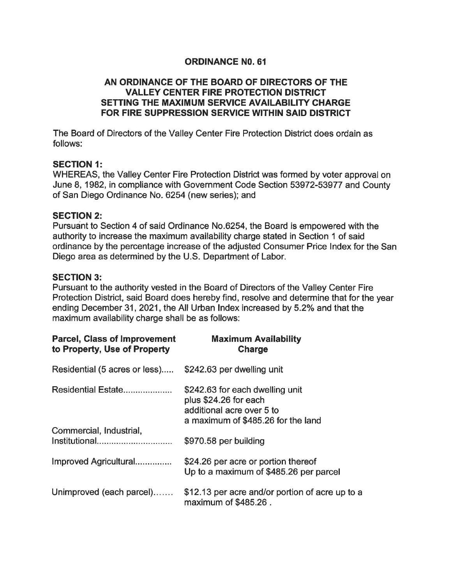# **ORDINANCE NO. 61**

# **AN ORDINANCE OF THE BOARD OF DIRECTORS OF THE VALLEY CENTER FIRE PROTECTION DISTRICT SETTING THE MAXIMUM SERVICE AVAILABILITY CHARGE FOR FIRE SUPPRESSION SERVICE WITHIN SAID DISTRICT**

The Board of Directors of the Valley Center Fire Protection District does ordain as follows:

### **SECTION 1:**

WHEREAS, the Valley Center Fire Protection District was formed by voter approval on June 8, 1982, in compliance with Government Code Section 53972-53977 and County of San Diego Ordinance No. 6254 (new series); and

### **SECTION 2:**

Pursuant to Section 4 of said Ordinance No.6254, the Board is empowered with the authority to increase the maximum availability charge stated in Section 1 of said ordinance by the percentage increase of the adjusted Consumer Price Index for the San Diego area as determined by the U.S. Department of Labor.

### **SECTION 3:**

Pursuant to the authority vested in the Board of Directors of the Valley Center Fire Protection District, said Board does hereby find, resolve and determine that for the year ending December 31, 2021, the All Urban Index increased by 5.2% and that the maximum availability charge shall be as follows:

| <b>Parcel, Class of Improvement</b><br>to Property, Use of Property | <b>Maximum Availability</b><br>Charge                                                                                       |
|---------------------------------------------------------------------|-----------------------------------------------------------------------------------------------------------------------------|
| Residential (5 acres or less)                                       | \$242.63 per dwelling unit                                                                                                  |
| Residential Estate                                                  | \$242.63 for each dwelling unit<br>plus \$24.26 for each<br>additional acre over 5 to<br>a maximum of \$485.26 for the land |
| Commercial, Industrial,<br>Institutional                            | \$970.58 per building                                                                                                       |
| Improved Agricultural                                               | \$24.26 per acre or portion thereof<br>Up to a maximum of \$485.26 per parcel                                               |
| Unimproved (each parcel)                                            | \$12.13 per acre and/or portion of acre up to a<br>maximum of \$485.26.                                                     |